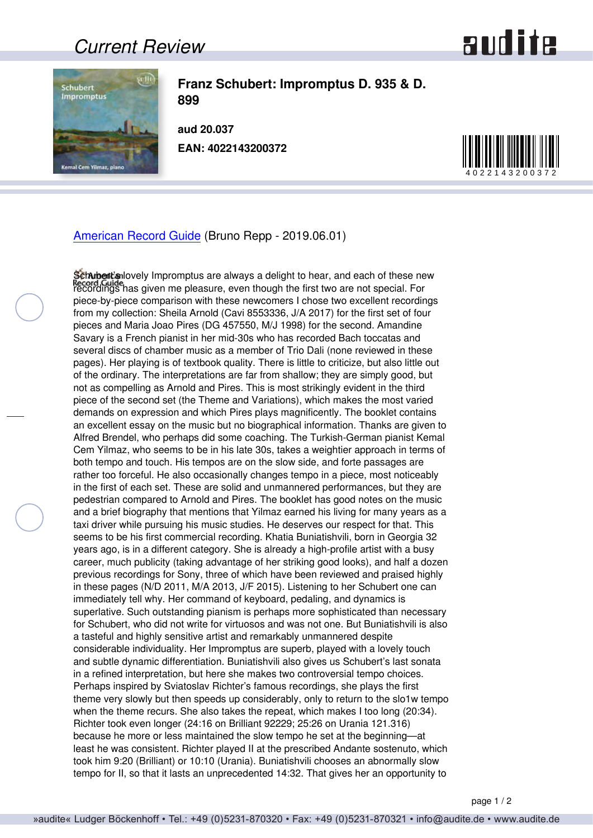## *Current Review*



**Franz Schubert: Impromptus D. 935 & D. 899**

**aud 20.037 EAN: 4022143200372**



[American Record Guide](http://www.americanrecordguide.com) (Bruno Repp - 2019.06.01)

Schubert's lovely Impromptus are always a delight to hear, and each of these new recordings has given me pleasure, even though the first two are not special. For piece-by-piece comparison with these newcomers I chose two excellent recordings from my collection: Sheila Arnold (Cavi 8553336, J/A 2017) for the first set of four pieces and Maria Joao Pires (DG 457550, M/J 1998) for the second. Amandine Savary is a French pianist in her mid-30s who has recorded Bach toccatas and several discs of chamber music as a member of Trio Dali (none reviewed in these pages). Her playing is of textbook quality. There is little to criticize, but also little out of the ordinary. The interpretations are far from shallow; they are simply good, but not as compelling as Arnold and Pires. This is most strikingly evident in the third piece of the second set (the Theme and Variations), which makes the most varied demands on expression and which Pires plays magnificently. The booklet contains an excellent essay on the music but no biographical information. Thanks are given to Alfred Brendel, who perhaps did some coaching. The Turkish-German pianist Kemal Cem Yilmaz, who seems to be in his late 30s, takes a weightier approach in terms of both tempo and touch. His tempos are on the slow side, and forte passages are rather too forceful. He also occasionally changes tempo in a piece, most noticeably in the first of each set. These are solid and unmannered performances, but they are pedestrian compared to Arnold and Pires. The booklet has good notes on the music and a brief biography that mentions that Yilmaz earned his living for many years as a taxi driver while pursuing his music studies. He deserves our respect for that. This seems to be his first commercial recording. Khatia Buniatishvili, born in Georgia 32 years ago, is in a different category. She is already a high-profile artist with a busy career, much publicity (taking advantage of her striking good looks), and half a dozen previous recordings for Sony, three of which have been reviewed and praised highly in these pages (N/D 2011, M/A 2013, J/F 2015). Listening to her Schubert one can immediately tell why. Her command of keyboard, pedaling, and dynamics is superlative. Such outstanding pianism is perhaps more sophisticated than necessary for Schubert, who did not write for virtuosos and was not one. But Buniatishvili is also a tasteful and highly sensitive artist and remarkably unmannered despite considerable individuality. Her Impromptus are superb, played with a lovely touch and subtle dynamic differentiation. Buniatishvili also gives us Schubert's last sonata in a refined interpretation, but here she makes two controversial tempo choices. Perhaps inspired by Sviatoslav Richter's famous recordings, she plays the first theme very slowly but then speeds up considerably, only to return to the slo1w tempo when the theme recurs. She also takes the repeat, which makes I too long (20:34). Richter took even longer (24:16 on Brilliant 92229; 25:26 on Urania 121.316) because he more or less maintained the slow tempo he set at the beginning—at least he was consistent. Richter played II at the prescribed Andante sostenuto, which took him 9:20 (Brilliant) or 10:10 (Urania). Buniatishvili chooses an abnormally slow tempo for II, so that it lasts an unprecedented 14:32. That gives her an opportunity to